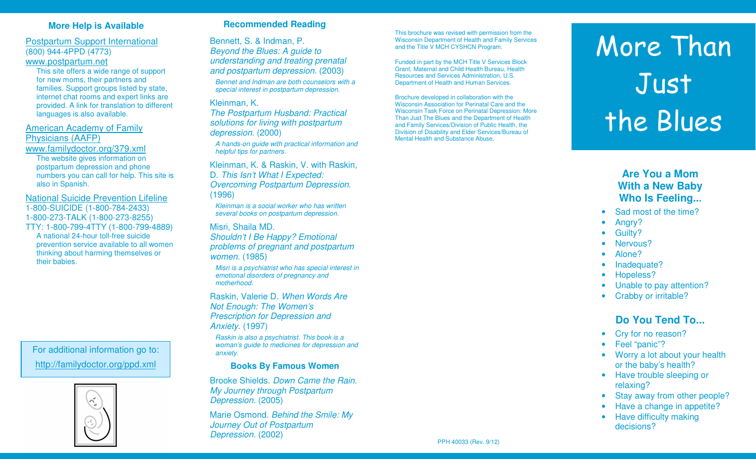## **More Help is Available**

Postpartum Support International (800) 944-4PPD (4773) www.postpartum.net

 This site offers a wide range of support for new moms, their partners and families. Support groups listed by state, internet chat rooms and expert links are provided. A link for translation to different languages is also available.

American Academy of Family Physicians (AAFP)

www.familydoctor.org/379.xml

 The website gives information on postpartum depression and phone numbers you can call for help. This site is also in Spanish.

National Suicide Prevention Lifeline

1-800-SUICIDE (1-800-784-2433)

1-800-273-TALK (1-800-273-8255)

 TTY: 1-800-799-4TTY (1-800-799-4889) A national 24-hour toll-free suicide prevention service available to all women thinking about harming themselves or their babies.

For additional information go to:http://familydoctor.org/ppd.xml



### **Recommended Reading**

Bennett, S. & Indman, P. Beyond the Blues: A guide to understanding and treating prenatal and postpartum depression. (2003)

Bennet and Indman are both counselors with a special interest in postpartum depression.

#### Kleinman, K.

 The Postpartum Husband: Practical solutions for living with postpartum depression. (2000)

A hands-on guide with practical information and helpful tips for partners.

Kleinman, K. & Raskin, V. with Raskin, D. This Isn't What I Expected: Overcoming Postpartum Depression. (1996)

Kleinman is a social worker who has written several books on postpartum depression.

#### Misri, Shaila MD.

 Shouldn't I Be Happy? Emotional problems of pregnant and postpartum women. (1985)

Misri is a psychiatrist who has special interest inemotional disorders of pregnancy and motherhood.

Raskin, Valerie D. When Words Are Not Enough: The Women's Prescription for Depression and Anxiety. (1997)

Raskin is also a psychiatrist. This book is a woman's guide to medicines for depression and anxiety.

#### **Books By Famous Women**

Brooke Shields. Down Came the Rain. My Journey through Postpartum Depression. (2005)

Marie Osmond. Behind the Smile: My Journey Out of Postpartum Depression. (2002)

This brochure was revised with permission from the Wisconsin Department of Health and Family Services and the Title V MCH CYSHCN Program.

Funded in part by the MCH Title V Services Block Grant, Maternal and Child Health Bureau, Health Resources and Services Administration, U.S. Department of Health and Human Services.

Brochure developed in collaboration with the Wisconsin Association for Perinatal Care and the Wisconsin Task Force on Perinatal Depression: More Than Just The Blues and the Department of Health and Family Services/Division of Public Health, the Division of Disability and Elder Services/Bureau ofMental Health and Substance Abuse.

# More Than Just the Blues

# **Are You a Mom With a New Baby Who Is Feeling...**

- Sad most of the time?
- Anary?
- Guilty?
- Nervous?
- Alone?
- Inadequate?
- Hopeless?
- Unable to pay attention?
- Crabby or irritable?

# **Do You Tend To...**

- Cry for no reason?
- Feel "panic"?
- Worry a lot about your health or the baby's health?
- Have trouble sleeping or relaxing?
- Stay away from other people?
- Have a change in appetite?
- Have difficulty making decisions?